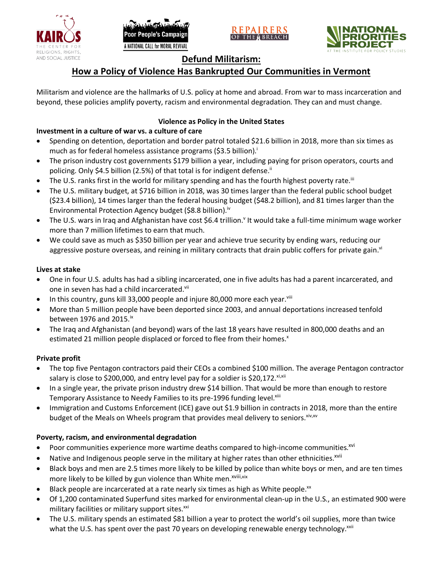





# **Defund Militarism:**

# **How a Policy of Violence Has Bankrupted Our Communities in Vermont**

Militarism and violence are the hallmarks of U.S. policy at home and abroad. From war to mass incarceration and beyond, these policies amplify poverty, racism and environmental degradation. They can and must change.

## **Violence as Policy in the United States**

# **Investment in a culture of war vs. a culture of care**

- Spending on detention, deportation and border patrol totaled \$21.6 billion in 2018, more than six times as much as for federal homeless assistance programs (\$3.5 billion).<sup>i</sup>
- The prison industry cost governments \$179 billion a year, including paying for prison operators, courts and policing. Only \$4.5 billion (2.5%) of that total is for indigent defense.<sup>ii</sup>
- The U.S. ranks first in the world for military spending and has the fourth highest poverty rate.<sup>iii</sup>
- The U.S. military budget, at \$716 billion in 2018, was 30 times larger than the federal public school budget (\$23.4 billion), 14 times larger than the federal housing budget (\$48.2 billion), and 81 times larger than the Environmental Protection Agency budget (\$8.8 billion).<sup>iv</sup>
- The U.S. wars in Iraq and Afghanistan have cost \$6.4 trillion.<sup>v</sup> It would take a full-time minimum wage worker more than 7 million lifetimes to earn that much.
- We could save as much as \$350 billion per year and achieve true security by ending wars, reducing our aggressive posture overseas, and reining in military contracts that drain public coffers for private gain.<sup>vi</sup>

### **Lives at stake**

- One in four U.S. adults has had a sibling incarcerated, one in five adults has had a parent incarcerated, and one in seven has had a child incarcerated.vii
- In this country, guns kill 33,000 people and injure 80,000 more each year. $v_{\text{lin}}$
- More than 5 million people have been deported since 2003, and annual deportations increased tenfold between 1976 and 2015. $\mathrm{i}$ <sup>x</sup>
- The Iraq and Afghanistan (and beyond) wars of the last 18 years have resulted in 800,000 deaths and an estimated 21 million people displaced or forced to flee from their homes.<sup>x</sup>

#### **Private profit**

- The top five Pentagon contractors paid their CEOs a combined \$100 million. The average Pentagon contractor salary is close to \$200,000, and entry level pay for a soldier is \$20,172. xi,xii
- In a single year, the private prison industry drew \$14 billion. That would be more than enough to restore Temporary Assistance to Needy Families to its pre-1996 funding level.<sup>xiii</sup>
- Immigration and Customs Enforcement (ICE) gave out \$1.9 billion in contracts in 2018, more than the entire budget of the Meals on Wheels program that provides meal delivery to seniors. Xiv, XV

### **Poverty, racism, and environmental degradation**

- Poor communities experience more wartime deaths compared to high-income communities.<sup>xvi</sup>
- Native and Indigenous people serve in the military at higher rates than other ethnicities.<sup>xvii</sup>
- Black boys and men are 2.5 times more likely to be killed by police than white boys or men, and are ten times more likely to be killed by gun violence than White men.<sup>xviii,xix</sup>
- Black people are incarcerated at a rate nearly six times as high as White people.<sup>xx</sup>
- Of 1,200 contaminated Superfund sites marked for environmental clean-up in the U.S., an estimated 900 were military facilities or military support sites.<sup>xxi</sup>
- The U.S. military spends an estimated \$81 billion a year to protect the world's oil supplies, more than twice what the U.S. has spent over the past 70 years on developing renewable energy technology.<sup>xxii</sup>